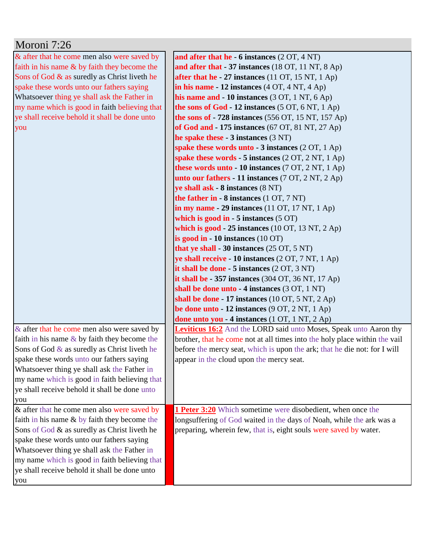| Moroni 7:26                                     |                                                                            |
|-------------------------------------------------|----------------------------------------------------------------------------|
| & after that he come men also were saved by     | and after that he $-6$ instances $(2 OT, 4 NT)$                            |
| faith in his name $&$ by faith they become the  | and after that - 37 instances (18 OT, 11 NT, 8 Ap)                         |
| Sons of God & as suredly as Christ liveth he    | after that he $-27$ instances (11 OT, 15 NT, 1 Ap)                         |
| spake these words unto our fathers saying       | in his name $-12$ instances $(4 OT, 4 NT, 4 Ap)$                           |
| Whatsoever thing ye shall ask the Father in     | his name and $-10$ instances (3 OT, 1 NT, 6 Ap)                            |
| my name which is good in faith believing that   | the sons of God - 12 instances (5 OT, 6 NT, 1 Ap)                          |
| ye shall receive behold it shall be done unto   | the sons of $-728$ instances (556 OT, 15 NT, 157 Ap)                       |
| you                                             | of God and - 175 instances (67 OT, 81 NT, 27 Ap)                           |
|                                                 | he spake these $-3$ instances $(3 \text{ NT})$                             |
|                                                 | spake these words unto $-3$ instances $(2 OT, 1 Ap)$                       |
|                                                 | spake these words $-5$ instances (2 OT, 2 NT, 1 Ap)                        |
|                                                 | these words unto $-10$ instances (7 OT, 2 NT, 1 Ap)                        |
|                                                 | unto our fathers - 11 instances (7 OT, 2 NT, 2 Ap)                         |
|                                                 | ye shall ask - 8 instances (8 NT)                                          |
|                                                 | the father in $-8$ instances $(1 \text{ OT}, 7 \text{ NT})$                |
|                                                 | in my name $-29$ instances (11 OT, 17 NT, 1 Ap)                            |
|                                                 | which is good in $-5$ instances $(5 \text{ OT})$                           |
|                                                 | which is good - $25$ instances (10 OT, 13 NT, 2 Ap)                        |
|                                                 | is good in $-10$ instances $(10 \text{ OT})$                               |
|                                                 | that ye shall - 30 instances $(25 \text{ OT}, 5 \text{ NT})$               |
|                                                 | ye shall receive - 10 instances (2 OT, 7 NT, 1 Ap)                         |
|                                                 | it shall be done - 5 instances (2 OT, 3 NT)                                |
|                                                 | it shall be $-357$ instances (304 OT, 36 NT, 17 Ap)                        |
|                                                 | shall be done unto - 4 instances (3 OT, 1 NT)                              |
|                                                 | shall be done - 17 instances (10 OT, 5 NT, 2 Ap)                           |
|                                                 | be done unto $-12$ instances (9 OT, 2 NT, 1 Ap)                            |
|                                                 | done unto you - 4 instances (1 OT, 1 NT, 2 Ap)                             |
| & after that he come men also were saved by     | <b>Leviticus 16:2</b> And the LORD said unto Moses, Speak unto Aaron thy   |
| faith in his name $&$ by faith they become the  | brother, that he come not at all times into the holy place within the vail |
| Sons of God $\&$ as suredly as Christ liveth he | before the mercy seat, which is upon the ark; that he die not: for I will  |
| spake these words unto our fathers saying       | appear in the cloud upon the mercy seat.                                   |
| Whatsoever thing ye shall ask the Father in     |                                                                            |
| my name which is good in faith believing that   |                                                                            |
| ye shall receive behold it shall be done unto   |                                                                            |
| you                                             |                                                                            |
| & after that he come men also were saved by     | 1 Peter 3:20 Which sometime were disobedient, when once the                |
| faith in his name & by faith they become the    | longsuffering of God waited in the days of Noah, while the ark was a       |
| Sons of God & as suredly as Christ liveth he    | preparing, wherein few, that is, eight souls were saved by water.          |
| spake these words unto our fathers saying       |                                                                            |
| Whatsoever thing ye shall ask the Father in     |                                                                            |
| my name which is good in faith believing that   |                                                                            |
| ye shall receive behold it shall be done unto   |                                                                            |
| you                                             |                                                                            |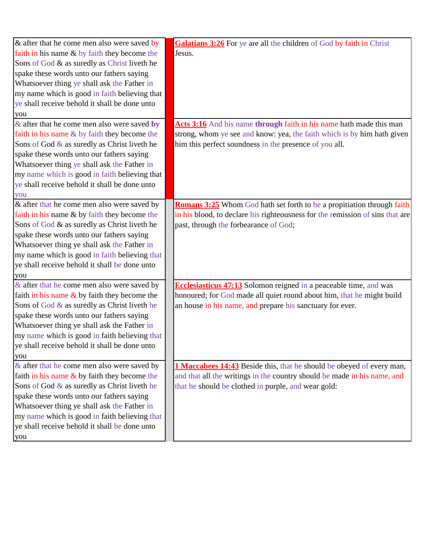| & after that he come men also were saved by    | <b>Galatians 3:26</b> For ye are all the children of God by faith in Christ   |
|------------------------------------------------|-------------------------------------------------------------------------------|
| faith in his name & by faith they become the   | Jesus.                                                                        |
| Sons of God & as suredly as Christ liveth he   |                                                                               |
| spake these words unto our fathers saying      |                                                                               |
| Whatsoever thing ye shall ask the Father in    |                                                                               |
| my name which is good in faith believing that  |                                                                               |
| ye shall receive behold it shall be done unto  |                                                                               |
| you                                            |                                                                               |
| $\&$ after that he come men also were saved by | Acts 3:16 And his name through faith in his name hath made this man           |
| faith in his name & by faith they become the   | strong, whom ye see and know: yea, the faith which is by him hath given       |
| Sons of God & as suredly as Christ liveth he   | him this perfect soundness in the presence of you all.                        |
| spake these words unto our fathers saying      |                                                                               |
| Whatsoever thing ye shall ask the Father in    |                                                                               |
| my name which is good in faith believing that  |                                                                               |
| ye shall receive behold it shall be done unto  |                                                                               |
| you                                            |                                                                               |
| $\&$ after that he come men also were saved by | Romans 3:25 Whom God hath set forth to be a propitiation through faith        |
| faith in his name & by faith they become the   | in his blood, to declare his righteousness for the remission of sins that are |
| Sons of God & as suredly as Christ liveth he   | past, through the forbearance of God;                                         |
| spake these words unto our fathers saying      |                                                                               |
| Whatsoever thing ye shall ask the Father in    |                                                                               |
| my name which is good in faith believing that  |                                                                               |
| ye shall receive behold it shall be done unto  |                                                                               |
| you                                            |                                                                               |
| & after that he come men also were saved by    | <b>Ecclesiasticus 47:13</b> Solomon reigned in a peaceable time, and was      |
| faith in his name $&$ by faith they become the | honoured; for God made all quiet round about him, that he might build         |
| Sons of God & as suredly as Christ liveth he   | an house in his name, and prepare his sanctuary for ever.                     |
| spake these words unto our fathers saying      |                                                                               |
| Whatsoever thing ye shall ask the Father in    |                                                                               |
| my name which is good in faith believing that  |                                                                               |
| ye shall receive behold it shall be done unto  |                                                                               |
| you                                            |                                                                               |
| & after that he come men also were saved by    | 1 Maccabees 14:43 Beside this, that he should be obeyed of every man,         |
| faith in his name $&$ by faith they become the | and that all the writings in the country should be made in his name, and      |
| Sons of God & as suredly as Christ liveth he   | that he should be clothed in purple, and wear gold:                           |
| spake these words unto our fathers saying      |                                                                               |
| Whatsoever thing ye shall ask the Father in    |                                                                               |
| my name which is good in faith believing that  |                                                                               |
| ye shall receive behold it shall be done unto  |                                                                               |
| you                                            |                                                                               |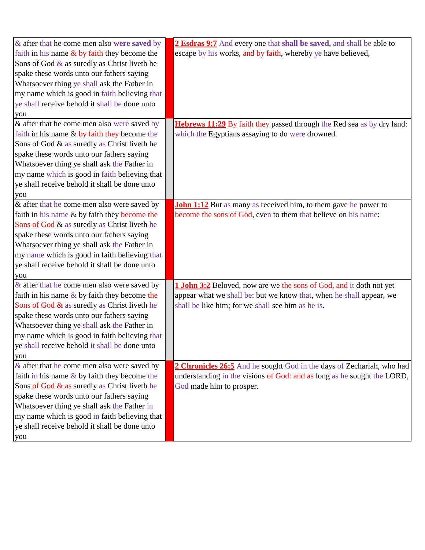| & after that he come men also were saved by     | 2 Esdras 9:7 And every one that shall be saved, and shall be able to          |
|-------------------------------------------------|-------------------------------------------------------------------------------|
| faith in his name $\&$ by faith they become the | escape by his works, and by faith, whereby ye have believed,                  |
| Sons of God & as suredly as Christ liveth he    |                                                                               |
| spake these words unto our fathers saying       |                                                                               |
| Whatsoever thing ye shall ask the Father in     |                                                                               |
| my name which is good in faith believing that   |                                                                               |
| ye shall receive behold it shall be done unto   |                                                                               |
| you                                             |                                                                               |
| & after that he come men also were saved by     | <b>Hebrews 11:29</b> By faith they passed through the Red sea as by dry land: |
| faith in his name & by faith they become the    | which the Egyptians assaying to do were drowned.                              |
| Sons of God & as suredly as Christ liveth he    |                                                                               |
| spake these words unto our fathers saying       |                                                                               |
| Whatsoever thing ye shall ask the Father in     |                                                                               |
| my name which is good in faith believing that   |                                                                               |
| ye shall receive behold it shall be done unto   |                                                                               |
| you                                             |                                                                               |
| & after that he come men also were saved by     | <b>John 1:12</b> But as many as received him, to them gave he power to        |
| faith in his name & by faith they become the    | become the sons of God, even to them that believe on his name:                |
| Sons of God & as suredly as Christ liveth he    |                                                                               |
| spake these words unto our fathers saying       |                                                                               |
| Whatsoever thing ye shall ask the Father in     |                                                                               |
| my name which is good in faith believing that   |                                                                               |
| ye shall receive behold it shall be done unto   |                                                                               |
| you                                             |                                                                               |
| & after that he come men also were saved by     | 1 John 3:2 Beloved, now are we the sons of God, and it doth not yet           |
| faith in his name $&$ by faith they become the  | appear what we shall be: but we know that, when he shall appear, we           |
| Sons of God $\&$ as suredly as Christ liveth he | shall be like him; for we shall see him as he is.                             |
| spake these words unto our fathers saying       |                                                                               |
| Whatsoever thing ye shall ask the Father in     |                                                                               |
| my name which is good in faith believing that   |                                                                               |
| ye shall receive behold it shall be done unto   |                                                                               |
| you                                             |                                                                               |
| $\&$ after that he come men also were saved by  | 2 Chronicles 26:5 And he sought God in the days of Zechariah, who had         |
| faith in his name $&$ by faith they become the  | understanding in the visions of God: and as long as he sought the LORD,       |
| Sons of God & as suredly as Christ liveth he    | God made him to prosper.                                                      |
| spake these words unto our fathers saying       |                                                                               |
| Whatsoever thing ye shall ask the Father in     |                                                                               |
| my name which is good in faith believing that   |                                                                               |
| ye shall receive behold it shall be done unto   |                                                                               |
| you                                             |                                                                               |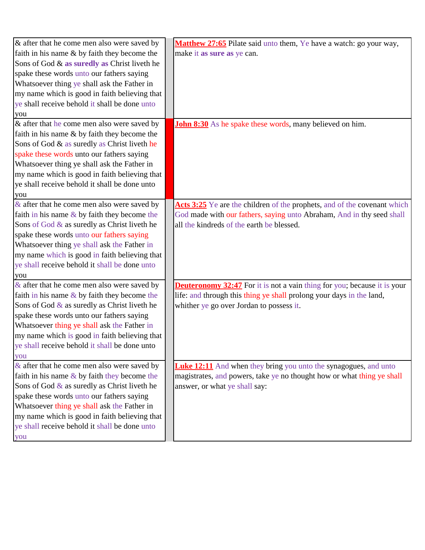| $\&$ after that he come men also were saved by  | Matthew 27:65 Pilate said unto them, Ye have a watch: go your way,              |
|-------------------------------------------------|---------------------------------------------------------------------------------|
| faith in his name & by faith they become the    | make it as sure as ye can.                                                      |
| Sons of God & as suredly as Christ liveth he    |                                                                                 |
| spake these words unto our fathers saying       |                                                                                 |
| Whatsoever thing ye shall ask the Father in     |                                                                                 |
| my name which is good in faith believing that   |                                                                                 |
| ye shall receive behold it shall be done unto   |                                                                                 |
| you                                             |                                                                                 |
| $\&$ after that he come men also were saved by  | <b>John 8:30</b> As he spake these words, many believed on him.                 |
| faith in his name & by faith they become the    |                                                                                 |
| Sons of God & as suredly as Christ liveth he    |                                                                                 |
| spake these words unto our fathers saying       |                                                                                 |
| Whatsoever thing ye shall ask the Father in     |                                                                                 |
| my name which is good in faith believing that   |                                                                                 |
| ye shall receive behold it shall be done unto   |                                                                                 |
| you                                             |                                                                                 |
| $\&$ after that he come men also were saved by  | Acts 3:25 Ye are the children of the prophets, and of the covenant which        |
| faith in his name & by faith they become the    | God made with our fathers, saying unto Abraham, And in thy seed shall           |
| Sons of God & as suredly as Christ liveth he    | all the kindreds of the earth be blessed.                                       |
| spake these words unto our fathers saying       |                                                                                 |
| Whatsoever thing ye shall ask the Father in     |                                                                                 |
| my name which is good in faith believing that   |                                                                                 |
| ye shall receive behold it shall be done unto   |                                                                                 |
| you                                             |                                                                                 |
| $\&$ after that he come men also were saved by  | <b>Deuteronomy 32:47</b> For it is not a vain thing for you; because it is your |
| faith in his name $&$ by faith they become the  | life: and through this thing ye shall prolong your days in the land,            |
| Sons of God $\&$ as suredly as Christ liveth he | whither ye go over Jordan to possess it.                                        |
| spake these words unto our fathers saying       |                                                                                 |
| Whatsoever thing ye shall ask the Father in     |                                                                                 |
| my name which is good in faith believing that   |                                                                                 |
| ye shall receive behold it shall be done unto   |                                                                                 |
| you                                             |                                                                                 |
| $\&$ after that he come men also were saved by  | <b>Luke 12:11</b> And when they bring you unto the synagogues, and unto         |
| faith in his name $&$ by faith they become the  | magistrates, and powers, take ye no thought how or what thing ye shall          |
| Sons of God $\&$ as suredly as Christ liveth he | answer, or what ye shall say:                                                   |
| spake these words unto our fathers saying       |                                                                                 |
| Whatsoever thing ye shall ask the Father in     |                                                                                 |
| my name which is good in faith believing that   |                                                                                 |
| ye shall receive behold it shall be done unto   |                                                                                 |
| you                                             |                                                                                 |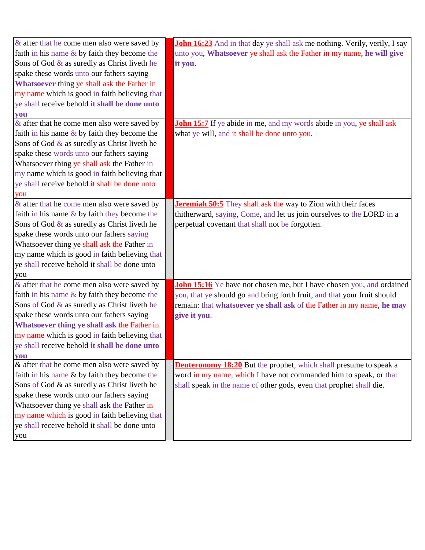| & after that he come men also were saved by     | <b>John 16:23</b> And in that day ye shall ask me nothing. Verily, verily, I say |
|-------------------------------------------------|----------------------------------------------------------------------------------|
| faith in his name $&$ by faith they become the  | unto you, Whatsoever ye shall ask the Father in my name, he will give            |
| Sons of God & as suredly as Christ liveth he    | it you.                                                                          |
| spake these words unto our fathers saying       |                                                                                  |
| Whatsoever thing ye shall ask the Father in     |                                                                                  |
| my name which is good in faith believing that   |                                                                                  |
| ye shall receive behold it shall be done unto   |                                                                                  |
| you                                             |                                                                                  |
| & after that he come men also were saved by     | <b>John 15:7</b> If ye abide in me, and my words abide in you, ye shall ask      |
| faith in his name $\&$ by faith they become the | what ye will, and it shall be done unto you.                                     |
| Sons of God & as suredly as Christ liveth he    |                                                                                  |
| spake these words unto our fathers saying       |                                                                                  |
| Whatsoever thing ye shall ask the Father in     |                                                                                  |
| my name which is good in faith believing that   |                                                                                  |
| ye shall receive behold it shall be done unto   |                                                                                  |
| you                                             |                                                                                  |
| & after that he come men also were saved by     | <b>Jeremiah 50:5</b> They shall ask the way to Zion with their faces             |
| faith in his name $\&$ by faith they become the | thitherward, saying, Come, and let us join ourselves to the LORD in a            |
| Sons of God & as suredly as Christ liveth he    | perpetual covenant that shall not be forgotten.                                  |
| spake these words unto our fathers saying       |                                                                                  |
| Whatsoever thing ye shall ask the Father in     |                                                                                  |
| my name which is good in faith believing that   |                                                                                  |
| ye shall receive behold it shall be done unto   |                                                                                  |
| you                                             |                                                                                  |
| & after that he come men also were saved by     | <b>John 15:16</b> Ye have not chosen me, but I have chosen you, and ordained     |
| faith in his name $&$ by faith they become the  | you, that ye should go and bring forth fruit, and that your fruit should         |
| Sons of God & as suredly as Christ liveth he    | remain: that whatsoever ye shall ask of the Father in my name, he may            |
| spake these words unto our fathers saying       | give it you.                                                                     |
| Whatsoever thing ye shall ask the Father in     |                                                                                  |
| my name which is good in faith believing that   |                                                                                  |
| ye shall receive behold it shall be done unto   |                                                                                  |
| <b>vou</b>                                      |                                                                                  |
| & after that he come men also were saved by     | <b>Deuteronomy 18:20</b> But the prophet, which shall presume to speak a         |
| faith in his name $\&$ by faith they become the | word in my name, which I have not commanded him to speak, or that                |
| Sons of God & as suredly as Christ liveth he    | shall speak in the name of other gods, even that prophet shall die.              |
| spake these words unto our fathers saying       |                                                                                  |
| Whatsoever thing ye shall ask the Father in     |                                                                                  |
| my name which is good in faith believing that   |                                                                                  |
| ye shall receive behold it shall be done unto   |                                                                                  |
| you                                             |                                                                                  |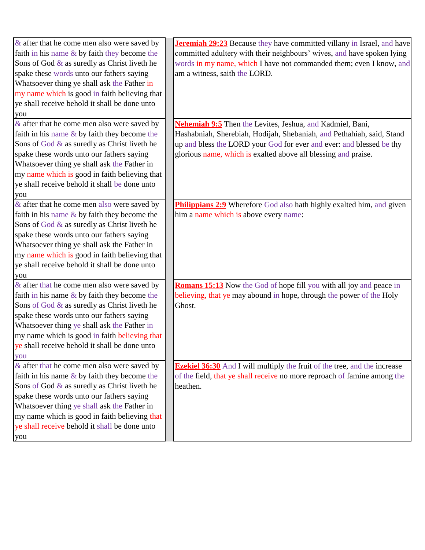| $\&$ after that he come men also were saved by  | <b>Jeremiah 29:23</b> Because they have committed villany in Israel, and have    |
|-------------------------------------------------|----------------------------------------------------------------------------------|
| faith in his name & by faith they become the    | committed adultery with their neighbours' wives, and have spoken lying           |
| Sons of God & as suredly as Christ liveth he    | words in my name, which I have not commanded them; even I know, and              |
| spake these words unto our fathers saying       | am a witness, saith the LORD.                                                    |
| Whatsoever thing ye shall ask the Father in     |                                                                                  |
| my name which is good in faith believing that   |                                                                                  |
| ye shall receive behold it shall be done unto   |                                                                                  |
| you                                             |                                                                                  |
| $\&$ after that he come men also were saved by  | <b>Nehemiah 9:5</b> Then the Levites, Jeshua, and Kadmiel, Bani,                 |
| faith in his name $&$ by faith they become the  | Hashabniah, Sherebiah, Hodijah, Shebaniah, and Pethahiah, said, Stand            |
| Sons of God & as suredly as Christ liveth he    | up and bless the LORD your God for ever and ever: and blessed be thy             |
| spake these words unto our fathers saying       | glorious name, which is exalted above all blessing and praise.                   |
| Whatsoever thing ye shall ask the Father in     |                                                                                  |
| my name which is good in faith believing that   |                                                                                  |
| ye shall receive behold it shall be done unto   |                                                                                  |
| you                                             |                                                                                  |
| & after that he come men also were saved by     | Philippians 2:9 Wherefore God also hath highly exalted him, and given            |
| faith in his name $&$ by faith they become the  | him a name which is above every name:                                            |
| Sons of God & as suredly as Christ liveth he    |                                                                                  |
| spake these words unto our fathers saying       |                                                                                  |
| Whatsoever thing ye shall ask the Father in     |                                                                                  |
| my name which is good in faith believing that   |                                                                                  |
| ye shall receive behold it shall be done unto   |                                                                                  |
| you                                             |                                                                                  |
| $\&$ after that he come men also were saved by  | <b>Romans 15:13</b> Now the God of hope fill you with all joy and peace in       |
| faith in his name $\&$ by faith they become the | believing, that ye may abound in hope, through the power of the Holy             |
| Sons of God $\&$ as suredly as Christ liveth he | Ghost.                                                                           |
| spake these words unto our fathers saying       |                                                                                  |
| Whatsoever thing ye shall ask the Father in     |                                                                                  |
| my name which is good in faith believing that   |                                                                                  |
| ye shall receive behold it shall be done unto   |                                                                                  |
| you                                             |                                                                                  |
| & after that he come men also were saved by     | <b>Ezekiel 36:30</b> And I will multiply the fruit of the tree, and the increase |
| faith in his name $\&$ by faith they become the | of the field, that ye shall receive no more reproach of famine among the         |
| Sons of God $\&$ as suredly as Christ liveth he | heathen.                                                                         |
| spake these words unto our fathers saying       |                                                                                  |
| Whatsoever thing ye shall ask the Father in     |                                                                                  |
| my name which is good in faith believing that   |                                                                                  |
| ye shall receive behold it shall be done unto   |                                                                                  |
| you                                             |                                                                                  |